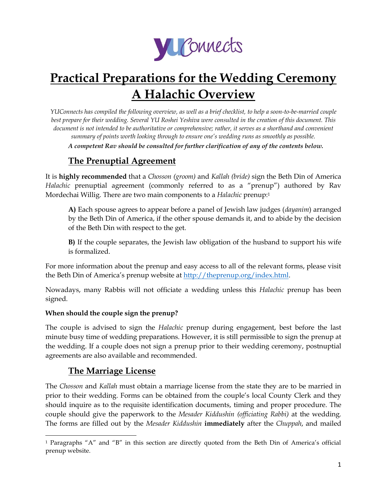

# **Practical Preparations for the Wedding Ceremony A Halachic Overview**

*YUConnects has compiled the following overview, as well as a brief checklist, to help a soon-to-be-married couple best prepare for their wedding. Several YU Roshei Yeshiva were consulted in the creation of this document. This document is not intended to be authoritative or comprehensive; rather, it serves as a shorthand and convenient summary of points worth looking through to ensure one's wedding runs as smoothly as possible. A competent Rav should be consulted for further clarification of any of the contents below.*

## **The Prenuptial Agreement**

It is **highly recommended** that a *Chosson (groom)* and *Kallah (bride)* sign the Beth Din of America *Halachic* prenuptial agreement (commonly referred to as a "prenup") authored by Rav Mordechai Willig. There are two main components to a *Halachic* prenup:<sup>1</sup>

**A)** Each spouse agrees to appear before a panel of Jewish law judges (*dayanim*) arranged by the Beth Din of America, if the other spouse demands it, and to abide by the decision of the Beth Din with respect to the get.

**B)** If the couple separates, the Jewish law obligation of the husband to support his wife is formalized.

For more information about the prenup and easy access to all of the relevant forms, please visit the Beth Din of America's prenup website at [http://theprenup.org/index.html.](http://theprenup.org/index.html)

Nowadays, many Rabbis will not officiate a wedding unless this *Halachic* prenup has been signed.

#### **When should the couple sign the prenup?**

The couple is advised to sign the *Halachic* prenup during engagement, best before the last minute busy time of wedding preparations. However, it is still permissible to sign the prenup at the wedding. If a couple does not sign a prenup prior to their wedding ceremony, postnuptial agreements are also available and recommended.

#### **The Marriage License**

The *Chosson* and *Kallah* must obtain a marriage license from the state they are to be married in prior to their wedding. Forms can be obtained from the couple's local County Clerk and they should inquire as to the requisite identification documents, timing and proper procedure. The couple should give the paperwork to the *Mesader Kiddushin (officiating Rabbi)* at the wedding*.*  The forms are filled out by the *Mesader Kiddushin* **immediately** after the *Chuppah*, and mailed

 $\overline{a}$ <sup>1</sup> Paragraphs "A" and "B" in this section are directly quoted from the Beth Din of America's official prenup website.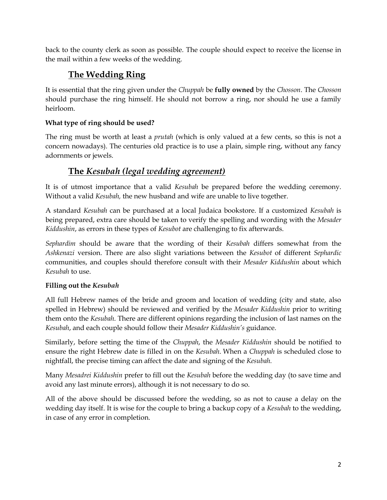back to the county clerk as soon as possible. The couple should expect to receive the license in the mail within a few weeks of the wedding.

## **The Wedding Ring**

It is essential that the ring given under the *Chuppah* be **fully owned** by the *Chosson*. The *Chosson* should purchase the ring himself. He should not borrow a ring, nor should he use a family heirloom.

#### **What type of ring should be used?**

The ring must be worth at least a *prutah* (which is only valued at a few cents, so this is not a concern nowadays). The centuries old practice is to use a plain, simple ring, without any fancy adornments or jewels.

## **The** *Kesubah (legal wedding agreement)*

It is of utmost importance that a valid *Kesubah* be prepared before the wedding ceremony. Without a valid *Kesubah,* the new husband and wife are unable to live together.

A standard *Kesubah* can be purchased at a local Judaica bookstore. If a customized *Kesubah* is being prepared, extra care should be taken to verify the spelling and wording with the *Mesader Kiddushin*, as errors in these types of *Kesubot* are challenging to fix afterwards.

*Sephardim* should be aware that the wording of their *Kesubah* differs somewhat from the *Ashkenazi* version. There are also slight variations between the *Kesubot* of different *Sephardic* communities, and couples should therefore consult with their *Mesader Kiddushin* about which *Kesubah* to use.

#### **Filling out the** *Kesubah*

All full Hebrew names of the bride and groom and location of wedding (city and state, also spelled in Hebrew) should be reviewed and verified by the *Mesader Kiddushin* prior to writing them onto the *Kesubah*. There are different opinions regarding the inclusion of last names on the *Kesubah*, and each couple should follow their *Mesader Kiddushin's* guidance.

Similarly, before setting the time of the *Chuppah*, the *Mesader Kiddushin* should be notified to ensure the right Hebrew date is filled in on the *Kesubah*. When a *Chuppah* is scheduled close to nightfall, the precise timing can affect the date and signing of the *Kesubah.*

Many *Mesadrei Kiddushin* prefer to fill out the *Kesubah* before the wedding day (to save time and avoid any last minute errors), although it is not necessary to do so.

All of the above should be discussed before the wedding, so as not to cause a delay on the wedding day itself. It is wise for the couple to bring a backup copy of a *Kesubah* to the wedding, in case of any error in completion.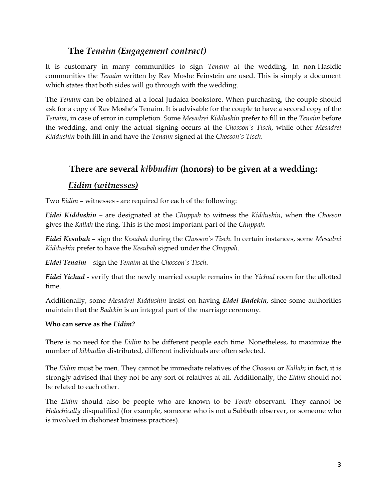## **The** *Tenaim (Engagement contract)*

It is customary in many communities to sign *Tenaim* at the wedding. In non-Hasidic communities the *Tenaim* written by Rav Moshe Feinstein are used. This is simply a document which states that both sides will go through with the wedding.

The *Tenaim* can be obtained at a local Judaica bookstore. When purchasing, the couple should ask for a copy of Rav Moshe's Tenaim. It is advisable for the couple to have a second copy of the *Tenaim*, in case of error in completion. Some *Mesadrei Kiddushin* prefer to fill in the *Tenaim* before the wedding, and only the actual signing occurs at the *Chosson's Tisch*, while other *Mesadrei Kiddushin* both fill in and have the *Tenaim* signed at the *Chosson's Tisch*.

## **There are several** *kibbudim* **(honors) to be given at a wedding:**

#### *Eidim (witnesses)*

Two *Eidim* – witnesses - are required for each of the following:

*Eidei Kiddushin* – are designated at the *Chuppah* to witness the *Kiddushin*, when the *Chosson*  gives the *Kallah* the ring. This is the most important part of the *Chuppah.*

*Eidei Kesubah* – sign the *Kesubah* during the *Chosson's Tisch*. In certain instances, some *Mesadrei Kiddushin* prefer to have the *Kesubah* signed under the *Chuppah*.

*Eidei Tenaim* – sign the *Tenaim* at the *Chosson's Tisch*.

*Eidei Yichud* - verify that the newly married couple remains in the *Yichud* room for the allotted time.

Additionally, some *Mesadrei Kiddushin* insist on having *Eidei Badekin*, since some authorities maintain that the *Badekin* is an integral part of the marriage ceremony.

#### **Who can serve as the** *Eidim?*

There is no need for the *Eidim* to be different people each time. Nonetheless, to maximize the number of *kibbudim* distributed, different individuals are often selected.

The *Eidim* must be men. They cannot be immediate relatives of the *Chosson* or *Kallah*; in fact, it is strongly advised that they not be any sort of relatives at all. Additionally, the *Eidim* should not be related to each other.

The *Eidim* should also be people who are known to be *Torah* observant. They cannot be *Halachically* disqualified (for example, someone who is not a Sabbath observer, or someone who is involved in dishonest business practices).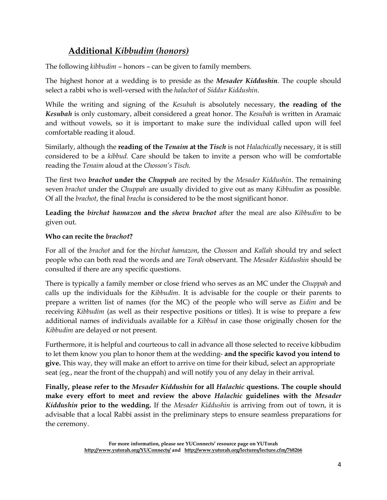## **Additional** *Kibbudim (honors)*

The following *kibbudim* – honors – can be given to family members.

The highest honor at a wedding is to preside as the *Mesader Kiddushin*. The couple should select a rabbi who is well-versed with the *halachot* of *Siddur Kiddushin*.

While the writing and signing of the *Kesubah* is absolutely necessary, **the reading of the**  *Kesubah* is only customary, albeit considered a great honor. The *Kesubah* is written in Aramaic and without vowels, so it is important to make sure the individual called upon will feel comfortable reading it aloud.

Similarly, although the **reading of the** *Tenaim* **at the** *Tisch* is not *Halachically* necessary, it is still considered to be a *kibbud.* Care should be taken to invite a person who will be comfortable reading the *Tenaim* aloud at the *Chosson's Tisch.*

The first two *brachot* **under the** *Chuppah* are recited by the *Mesader Kiddushin*. The remaining seven *brachot* under the *Chuppah* are usually divided to give out as many *Kibbudim* as possible. Of all the *brachot*, the final *bracha* is considered to be the most significant honor.

**Leading the** *birchat hamazon* **and the** *sheva brachot* after the meal are also *Kibbudim* to be given out.

#### **Who can recite the** *brachot***?**

For all of the *brachot* and for the *birchat hamazon*, the *Chosson* and *Kallah* should try and select people who can both read the words and are *Torah* observant. The *Mesader Kiddushin* should be consulted if there are any specific questions.

There is typically a family member or close friend who serves as an MC under the *Chuppah* and calls up the individuals for the *Kibbudim.* It is advisable for the couple or their parents to prepare a written list of names (for the MC) of the people who will serve as *Eidim* and be receiving *Kibbudim* (as well as their respective positions or titles). It is wise to prepare a few additional names of individuals available for a *Kibbud* in case those originally chosen for the *Kibbudim* are delayed or not present.

Furthermore, it is helpful and courteous to call in advance all those selected to receive kibbudim to let them know you plan to honor them at the wedding- **and the specific kavod you intend to give.** This way, they will make an effort to arrive on time for their kibud, select an appropriate seat (eg., near the front of the chuppah) and will notify you of any delay in their arrival.

**Finally, please refer to the** *Mesader Kiddushin* **for all** *Halachic* **questions. The couple should make every effort to meet and review the above** *Halachic* **guidelines with the** *Mesader Kiddushin* **prior to the wedding.** If the *Mesader Kiddushin* is arriving from out of town, it is advisable that a local Rabbi assist in the preliminary steps to ensure seamless preparations for the ceremony.